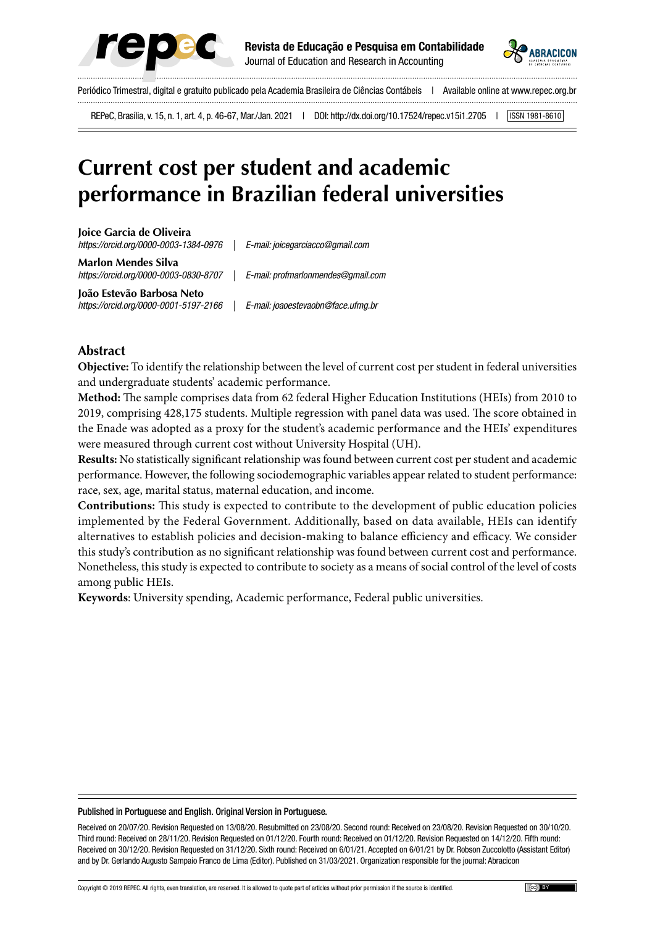



Periódico Trimestral, digital e gratuito publicado pela Academia Brasileira de Ciências Contábeis | Available online at www.repec.org.br

REPeC, Brasília, v. 15, n. 1, art. 4, p. 46-67, Mar./Jan. 2021 | DOI: http://dx.doi.org/10.17524/repec.v15i1.2705 | SSN 1981-8610

# **Current cost per student and academic performance in Brazilian federal universities**

**Joice Garcia de Oliveira** *https://orcid.org/0000-0003-1384-0976 | E-mail: joicegarciacco@gmail.com*

**Marlon Mendes Silva** *https://orcid.org/0000-0003-0830-8707 | E-mail: profmarlonmendes@gmail.com*

**João Estevão Barbosa Neto**

*https://orcid.org/0000-0001-5197-2166 | E-mail: joaoestevaobn@face.ufmg.br*

## **Abstract**

**Objective:** To identify the relationship between the level of current cost per student in federal universities and undergraduate students' academic performance.

**Method:** The sample comprises data from 62 federal Higher Education Institutions (HEIs) from 2010 to 2019, comprising 428,175 students. Multiple regression with panel data was used. The score obtained in the Enade was adopted as a proxy for the student's academic performance and the HEIs' expenditures were measured through current cost without University Hospital (UH).

**Results:** No statistically significant relationship was found between current cost per student and academic performance. However, the following sociodemographic variables appear related to student performance: race, sex, age, marital status, maternal education, and income.

**Contributions:** This study is expected to contribute to the development of public education policies implemented by the Federal Government. Additionally, based on data available, HEIs can identify alternatives to establish policies and decision-making to balance efficiency and efficacy. We consider this study's contribution as no significant relationship was found between current cost and performance. Nonetheless, this study is expected to contribute to society as a means of social control of the level of costs among public HEIs.

**Keywords**: University spending, Academic performance, Federal public universities.

#### Published in Portuguese and English. Original Version in Portuguese.

Received on 20/07/20. Revision Requested on 13/08/20. Resubmitted on 23/08/20. Second round: Received on 23/08/20. Revision Requested on 30/10/20. Third round: Received on 28/11/20. Revision Requested on 01/12/20. Fourth round: Received on 01/12/20. Revision Requested on 14/12/20. Fifth round: Received on 30/12/20. Revision Requested on 31/12/20. Sixth round: Received on 6/01/21. Accepted on 6/01/21 by Dr. Robson Zuccolotto (Assistant Editor) and by Dr. Gerlando Augusto Sampaio Franco de Lima (Editor). Published on 31/03/2021. Organization responsible for the journal: Abracicon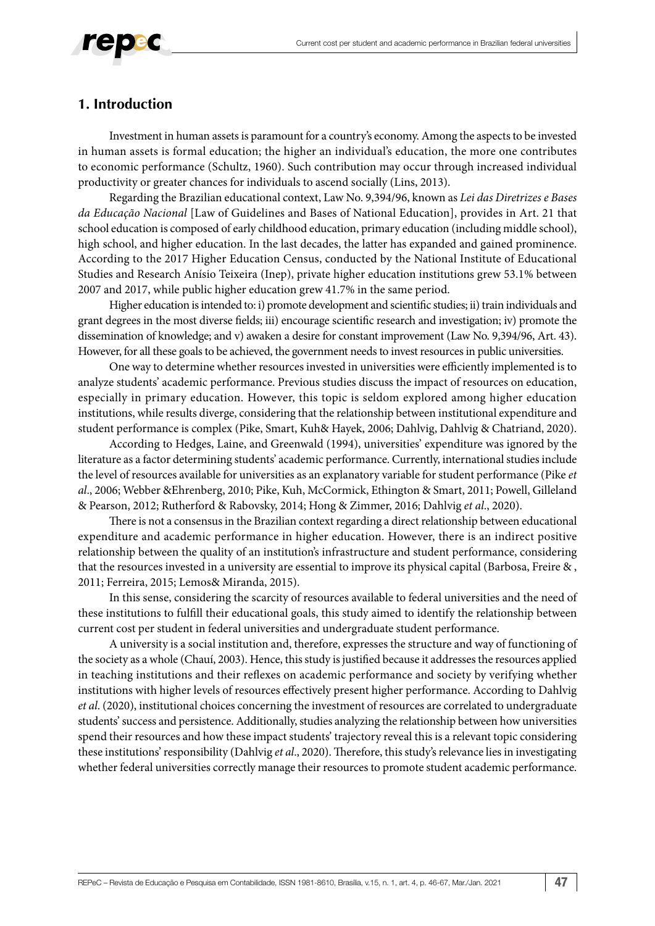

## **1. Introduction**

Investment in human assets is paramount for a country's economy. Among the aspects to be invested in human assets is formal education; the higher an individual's education, the more one contributes to economic performance (Schultz, 1960). Such contribution may occur through increased individual productivity or greater chances for individuals to ascend socially (Lins, 2013).

Regarding the Brazilian educational context, Law No. 9,394/96, known as *Lei das Diretrizes e Bases da Educação Nacional* [Law of Guidelines and Bases of National Education], provides in Art. 21 that school education is composed of early childhood education, primary education (including middle school), high school, and higher education. In the last decades, the latter has expanded and gained prominence. According to the 2017 Higher Education Census, conducted by the National Institute of Educational Studies and Research Anísio Teixeira (Inep), private higher education institutions grew 53.1% between 2007 and 2017, while public higher education grew 41.7% in the same period.

Higher education is intended to: i) promote development and scientific studies; ii) train individuals and grant degrees in the most diverse fields; iii) encourage scientific research and investigation; iv) promote the dissemination of knowledge; and v) awaken a desire for constant improvement (Law No. 9,394/96, Art. 43). However, for all these goals to be achieved, the government needs to invest resources in public universities.

One way to determine whether resources invested in universities were efficiently implemented is to analyze students' academic performance. Previous studies discuss the impact of resources on education, especially in primary education. However, this topic is seldom explored among higher education institutions, while results diverge, considering that the relationship between institutional expenditure and student performance is complex (Pike, Smart, Kuh& Hayek, 2006; Dahlvig, Dahlvig & Chatriand, 2020).

According to Hedges, Laine, and Greenwald (1994), universities' expenditure was ignored by the literature as a factor determining students' academic performance. Currently, international studies include the level of resources available for universities as an explanatory variable for student performance (Pike *et al*., 2006; Webber &Ehrenberg, 2010; Pike, Kuh, McCormick, Ethington & Smart, 2011; Powell, Gilleland & Pearson, 2012; Rutherford & Rabovsky, 2014; Hong & Zimmer, 2016; Dahlvig *et al*., 2020).

There is not a consensus in the Brazilian context regarding a direct relationship between educational expenditure and academic performance in higher education. However, there is an indirect positive relationship between the quality of an institution's infrastructure and student performance, considering that the resources invested in a university are essential to improve its physical capital (Barbosa, Freire & , 2011; Ferreira, 2015; Lemos& Miranda, 2015).

In this sense, considering the scarcity of resources available to federal universities and the need of these institutions to fulfill their educational goals, this study aimed to identify the relationship between current cost per student in federal universities and undergraduate student performance.

A university is a social institution and, therefore, expresses the structure and way of functioning of the society as a whole (Chauí, 2003). Hence, this study is justified because it addresses the resources applied in teaching institutions and their reflexes on academic performance and society by verifying whether institutions with higher levels of resources effectively present higher performance. According to Dahlvig *et al*. (2020), institutional choices concerning the investment of resources are correlated to undergraduate students' success and persistence. Additionally, studies analyzing the relationship between how universities spend their resources and how these impact students' trajectory reveal this is a relevant topic considering these institutions' responsibility (Dahlvig *et al*., 2020). Therefore, this study's relevance lies in investigating whether federal universities correctly manage their resources to promote student academic performance.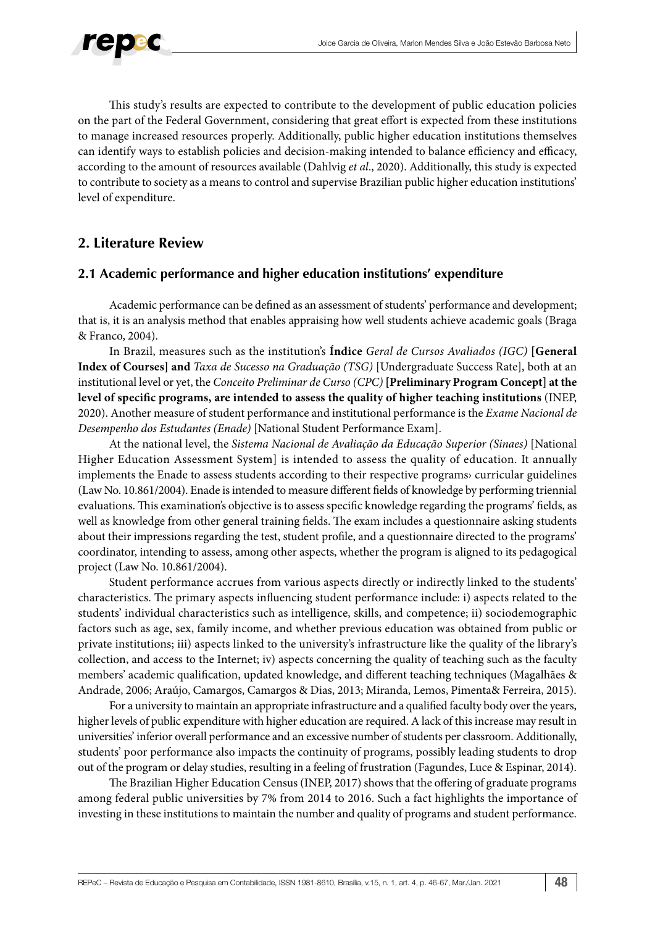

This study's results are expected to contribute to the development of public education policies on the part of the Federal Government, considering that great effort is expected from these institutions to manage increased resources properly. Additionally, public higher education institutions themselves can identify ways to establish policies and decision-making intended to balance efficiency and efficacy, according to the amount of resources available (Dahlvig *et al*., 2020). Additionally, this study is expected to contribute to society as a means to control and supervise Brazilian public higher education institutions' level of expenditure.

## **2. Literature Review**

## **2.1 Academic performance and higher education institutions' expenditure**

Academic performance can be defined as an assessment of students' performance and development; that is, it is an analysis method that enables appraising how well students achieve academic goals (Braga & Franco, 2004).

In Brazil, measures such as the institution's **Índice** *Geral de Cursos Avaliados (IGC)* **[General Index of Courses] and** *Taxa de Sucesso na Graduação (TSG)* [Undergraduate Success Rate], both at an institutional level or yet, the *Conceito Preliminar de Curso (CPC)* **[Preliminary Program Concept] at the level of specific programs, are intended to assess the quality of higher teaching institutions** (INEP, 2020). Another measure of student performance and institutional performance is the *Exame Nacional de Desempenho dos Estudantes (Enade)* [National Student Performance Exam].

At the national level, the *Sistema Nacional de Avaliação da Educação Superior (Sinaes)* [National Higher Education Assessment System] is intended to assess the quality of education. It annually implements the Enade to assess students according to their respective programs› curricular guidelines (Law No. 10.861/2004). Enade is intended to measure different fields of knowledge by performing triennial evaluations. This examination's objective is to assess specific knowledge regarding the programs' fields, as well as knowledge from other general training fields. The exam includes a questionnaire asking students about their impressions regarding the test, student profile, and a questionnaire directed to the programs' coordinator, intending to assess, among other aspects, whether the program is aligned to its pedagogical project (Law No. 10.861/2004).

Student performance accrues from various aspects directly or indirectly linked to the students' characteristics. The primary aspects influencing student performance include: i) aspects related to the students' individual characteristics such as intelligence, skills, and competence; ii) sociodemographic factors such as age, sex, family income, and whether previous education was obtained from public or private institutions; iii) aspects linked to the university's infrastructure like the quality of the library's collection, and access to the Internet; iv) aspects concerning the quality of teaching such as the faculty members' academic qualification, updated knowledge, and different teaching techniques (Magalhães & Andrade, 2006; Araújo, Camargos, Camargos & Dias, 2013; Miranda, Lemos, Pimenta& Ferreira, 2015).

For a university to maintain an appropriate infrastructure and a qualified faculty body over the years, higher levels of public expenditure with higher education are required. A lack of this increase may result in universities' inferior overall performance and an excessive number of students per classroom. Additionally, students' poor performance also impacts the continuity of programs, possibly leading students to drop out of the program or delay studies, resulting in a feeling of frustration (Fagundes, Luce & Espinar, 2014).

The Brazilian Higher Education Census (INEP, 2017) shows that the offering of graduate programs among federal public universities by 7% from 2014 to 2016. Such a fact highlights the importance of investing in these institutions to maintain the number and quality of programs and student performance.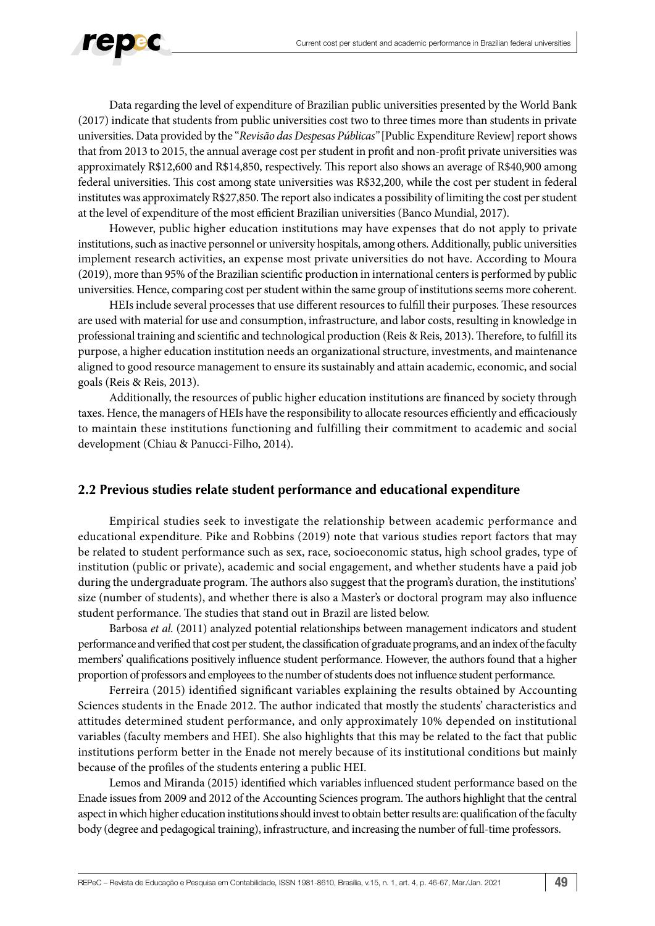

Data regarding the level of expenditure of Brazilian public universities presented by the World Bank (2017) indicate that students from public universities cost two to three times more than students in private universities. Data provided by the "*Revisão das Despesas Públicas"* [Public Expenditure Review] report shows that from 2013 to 2015, the annual average cost per student in profit and non-profit private universities was approximately R\$12,600 and R\$14,850, respectively. This report also shows an average of R\$40,900 among federal universities. This cost among state universities was R\$32,200, while the cost per student in federal institutes was approximately R\$27,850. The report also indicates a possibility of limiting the cost per student at the level of expenditure of the most efficient Brazilian universities (Banco Mundial, 2017).

However, public higher education institutions may have expenses that do not apply to private institutions, such as inactive personnel or university hospitals, among others. Additionally, public universities implement research activities, an expense most private universities do not have. According to Moura (2019), more than 95% of the Brazilian scientific production in international centers is performed by public universities. Hence, comparing cost per student within the same group of institutions seems more coherent.

HEIs include several processes that use different resources to fulfill their purposes. These resources are used with material for use and consumption, infrastructure, and labor costs, resulting in knowledge in professional training and scientific and technological production (Reis & Reis, 2013). Therefore, to fulfill its purpose, a higher education institution needs an organizational structure, investments, and maintenance aligned to good resource management to ensure its sustainably and attain academic, economic, and social goals (Reis & Reis, 2013).

Additionally, the resources of public higher education institutions are financed by society through taxes. Hence, the managers of HEIs have the responsibility to allocate resources efficiently and efficaciously to maintain these institutions functioning and fulfilling their commitment to academic and social development (Chiau & Panucci-Filho, 2014).

## **2.2 Previous studies relate student performance and educational expenditure**

Empirical studies seek to investigate the relationship between academic performance and educational expenditure. Pike and Robbins (2019) note that various studies report factors that may be related to student performance such as sex, race, socioeconomic status, high school grades, type of institution (public or private), academic and social engagement, and whether students have a paid job during the undergraduate program. The authors also suggest that the program's duration, the institutions' size (number of students), and whether there is also a Master's or doctoral program may also influence student performance. The studies that stand out in Brazil are listed below.

Barbosa *et al*. (2011) analyzed potential relationships between management indicators and student performance and verified that cost per student, the classification of graduate programs, and an index of the faculty members' qualifications positively influence student performance. However, the authors found that a higher proportion of professors and employees to the number of students does not influence student performance.

Ferreira (2015) identified significant variables explaining the results obtained by Accounting Sciences students in the Enade 2012. The author indicated that mostly the students' characteristics and attitudes determined student performance, and only approximately 10% depended on institutional variables (faculty members and HEI). She also highlights that this may be related to the fact that public institutions perform better in the Enade not merely because of its institutional conditions but mainly because of the profiles of the students entering a public HEI.

Lemos and Miranda (2015) identified which variables influenced student performance based on the Enade issues from 2009 and 2012 of the Accounting Sciences program. The authors highlight that the central aspect in which higher education institutions should invest to obtain better results are: qualification of the faculty body (degree and pedagogical training), infrastructure, and increasing the number of full-time professors.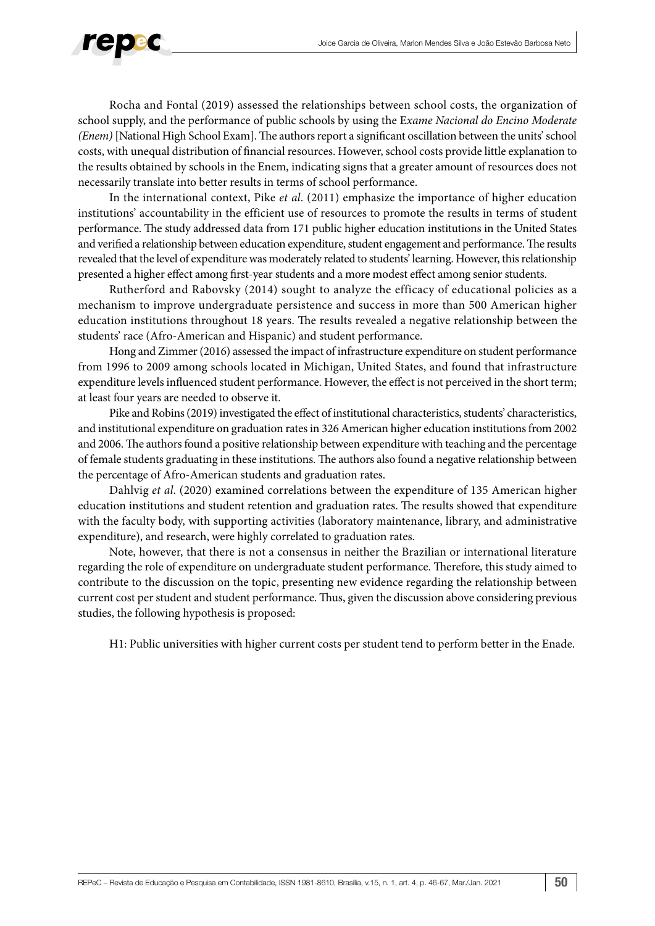

Rocha and Fontal (2019) assessed the relationships between school costs, the organization of school supply, and the performance of public schools by using the E*xame Nacional do Encino Moderate (Enem)* [National High School Exam]. The authors report a significant oscillation between the units' school costs, with unequal distribution of financial resources. However, school costs provide little explanation to the results obtained by schools in the Enem, indicating signs that a greater amount of resources does not necessarily translate into better results in terms of school performance.

In the international context, Pike *et al*. (2011) emphasize the importance of higher education institutions' accountability in the efficient use of resources to promote the results in terms of student performance. The study addressed data from 171 public higher education institutions in the United States and verified a relationship between education expenditure, student engagement and performance. The results revealed that the level of expenditure was moderately related to students' learning. However, this relationship presented a higher effect among first-year students and a more modest effect among senior students.

Rutherford and Rabovsky (2014) sought to analyze the efficacy of educational policies as a mechanism to improve undergraduate persistence and success in more than 500 American higher education institutions throughout 18 years. The results revealed a negative relationship between the students' race (Afro-American and Hispanic) and student performance.

Hong and Zimmer (2016) assessed the impact of infrastructure expenditure on student performance from 1996 to 2009 among schools located in Michigan, United States, and found that infrastructure expenditure levels influenced student performance. However, the effect is not perceived in the short term; at least four years are needed to observe it.

Pike and Robins (2019) investigated the effect of institutional characteristics, students' characteristics, and institutional expenditure on graduation rates in 326 American higher education institutions from 2002 and 2006. The authors found a positive relationship between expenditure with teaching and the percentage of female students graduating in these institutions. The authors also found a negative relationship between the percentage of Afro-American students and graduation rates.

Dahlvig *et al*. (2020) examined correlations between the expenditure of 135 American higher education institutions and student retention and graduation rates. The results showed that expenditure with the faculty body, with supporting activities (laboratory maintenance, library, and administrative expenditure), and research, were highly correlated to graduation rates.

Note, however, that there is not a consensus in neither the Brazilian or international literature regarding the role of expenditure on undergraduate student performance. Therefore, this study aimed to contribute to the discussion on the topic, presenting new evidence regarding the relationship between current cost per student and student performance. Thus, given the discussion above considering previous studies, the following hypothesis is proposed:

H1: Public universities with higher current costs per student tend to perform better in the Enade.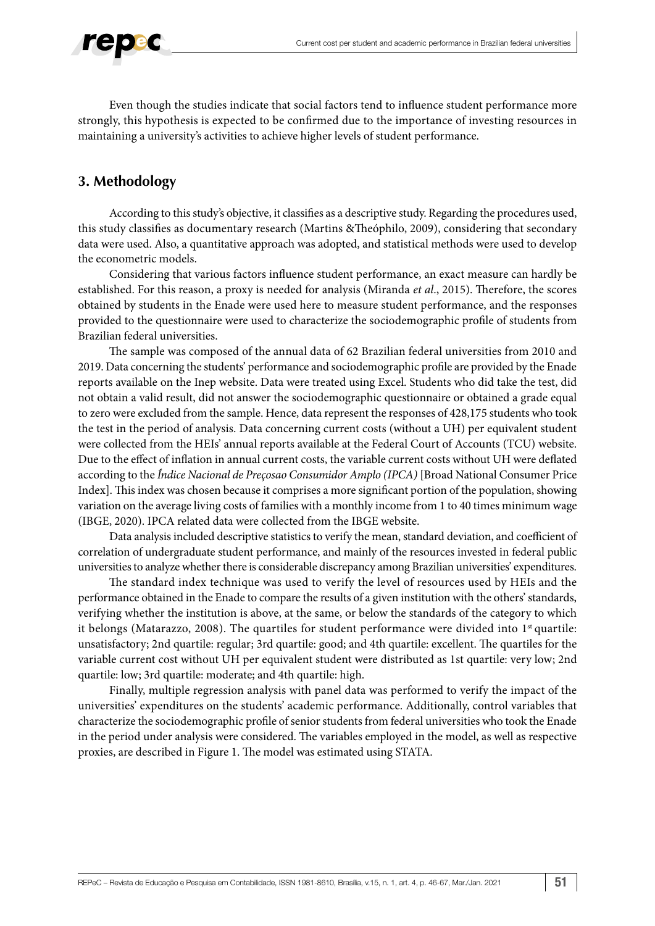

Even though the studies indicate that social factors tend to influence student performance more strongly, this hypothesis is expected to be confirmed due to the importance of investing resources in maintaining a university's activities to achieve higher levels of student performance.

## **3. Methodology**

According to this study's objective, it classifies as a descriptive study. Regarding the procedures used, this study classifies as documentary research (Martins &Theóphilo, 2009), considering that secondary data were used. Also, a quantitative approach was adopted, and statistical methods were used to develop the econometric models.

Considering that various factors influence student performance, an exact measure can hardly be established. For this reason, a proxy is needed for analysis (Miranda *et al*., 2015). Therefore, the scores obtained by students in the Enade were used here to measure student performance, and the responses provided to the questionnaire were used to characterize the sociodemographic profile of students from Brazilian federal universities.

The sample was composed of the annual data of 62 Brazilian federal universities from 2010 and 2019. Data concerning the students' performance and sociodemographic profile are provided by the Enade reports available on the Inep website. Data were treated using Excel. Students who did take the test, did not obtain a valid result, did not answer the sociodemographic questionnaire or obtained a grade equal to zero were excluded from the sample. Hence, data represent the responses of 428,175 students who took the test in the period of analysis. Data concerning current costs (without a UH) per equivalent student were collected from the HEIs' annual reports available at the Federal Court of Accounts (TCU) website. Due to the effect of inflation in annual current costs, the variable current costs without UH were deflated according to the *Índice Nacional de Preçosao Consumidor Amplo (IPCA)* [Broad National Consumer Price Index]. This index was chosen because it comprises a more significant portion of the population, showing variation on the average living costs of families with a monthly income from 1 to 40 times minimum wage (IBGE, 2020). IPCA related data were collected from the IBGE website.

Data analysis included descriptive statistics to verify the mean, standard deviation, and coefficient of correlation of undergraduate student performance, and mainly of the resources invested in federal public universities to analyze whether there is considerable discrepancy among Brazilian universities' expenditures.

The standard index technique was used to verify the level of resources used by HEIs and the performance obtained in the Enade to compare the results of a given institution with the others' standards, verifying whether the institution is above, at the same, or below the standards of the category to which it belongs (Matarazzo, 2008). The quartiles for student performance were divided into 1<sup>st</sup> quartile: unsatisfactory; 2nd quartile: regular; 3rd quartile: good; and 4th quartile: excellent. The quartiles for the variable current cost without UH per equivalent student were distributed as 1st quartile: very low; 2nd quartile: low; 3rd quartile: moderate; and 4th quartile: high.

Finally, multiple regression analysis with panel data was performed to verify the impact of the universities' expenditures on the students' academic performance. Additionally, control variables that characterize the sociodemographic profile of senior students from federal universities who took the Enade in the period under analysis were considered. The variables employed in the model, as well as respective proxies, are described in Figure 1. The model was estimated using STATA.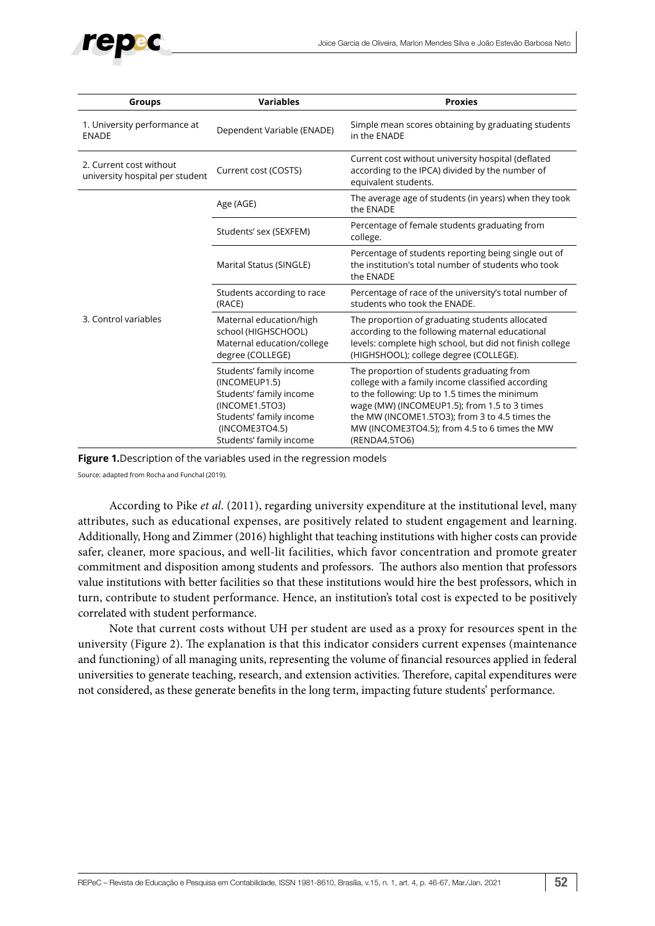

| Groups                                                     | <b>Variables</b>                                                                                                                                              | <b>Proxies</b>                                                                                                                                                                                                                                                                                                       |  |
|------------------------------------------------------------|---------------------------------------------------------------------------------------------------------------------------------------------------------------|----------------------------------------------------------------------------------------------------------------------------------------------------------------------------------------------------------------------------------------------------------------------------------------------------------------------|--|
| 1. University performance at<br><b>ENADE</b>               | Dependent Variable (ENADE)                                                                                                                                    | Simple mean scores obtaining by graduating students<br>in the ENADE                                                                                                                                                                                                                                                  |  |
| 2. Current cost without<br>university hospital per student | Current cost (COSTS)                                                                                                                                          | Current cost without university hospital (deflated<br>according to the IPCA) divided by the number of<br>equivalent students.                                                                                                                                                                                        |  |
| 3. Control variables                                       | Age (AGE)                                                                                                                                                     | The average age of students (in years) when they took<br>the ENADE                                                                                                                                                                                                                                                   |  |
|                                                            | Students' sex (SEXFEM)                                                                                                                                        | Percentage of female students graduating from<br>college.                                                                                                                                                                                                                                                            |  |
|                                                            | Marital Status (SINGLE)                                                                                                                                       | Percentage of students reporting being single out of<br>the institution's total number of students who took<br>the ENADE                                                                                                                                                                                             |  |
|                                                            | Students according to race<br>(RACE)                                                                                                                          | Percentage of race of the university's total number of<br>students who took the ENADE.                                                                                                                                                                                                                               |  |
|                                                            | Maternal education/high<br>school (HIGHSCHOOL)<br>Maternal education/college<br>degree (COLLEGE)                                                              | The proportion of graduating students allocated<br>according to the following maternal educational<br>levels: complete high school, but did not finish college<br>(HIGHSHOOL); college degree (COLLEGE).                                                                                                             |  |
|                                                            | Students' family income<br>(INCOMEUP1.5)<br>Students' family income<br>(INCOME1.5TO3)<br>Students' family income<br>(INCOME3TO4.5)<br>Students' family income | The proportion of students graduating from<br>college with a family income classified according<br>to the following: Up to 1.5 times the minimum<br>wage (MW) (INCOMEUP1.5); from 1.5 to 3 times<br>the MW (INCOME1.5TO3); from 3 to 4.5 times the<br>MW (INCOME3TO4.5); from 4.5 to 6 times the MW<br>(RENDA4.5TO6) |  |

**Figure 1.**Description of the variables used in the regression models

Source: adapted from Rocha and Funchal (2019).

According to Pike *et al*. (2011), regarding university expenditure at the institutional level, many attributes, such as educational expenses, are positively related to student engagement and learning. Additionally, Hong and Zimmer (2016) highlight that teaching institutions with higher costs can provide safer, cleaner, more spacious, and well-lit facilities, which favor concentration and promote greater commitment and disposition among students and professors. The authors also mention that professors value institutions with better facilities so that these institutions would hire the best professors, which in turn, contribute to student performance. Hence, an institution's total cost is expected to be positively correlated with student performance.

Note that current costs without UH per student are used as a proxy for resources spent in the university (Figure 2). The explanation is that this indicator considers current expenses (maintenance and functioning) of all managing units, representing the volume of financial resources applied in federal universities to generate teaching, research, and extension activities. Therefore, capital expenditures were not considered, as these generate benefits in the long term, impacting future students' performance.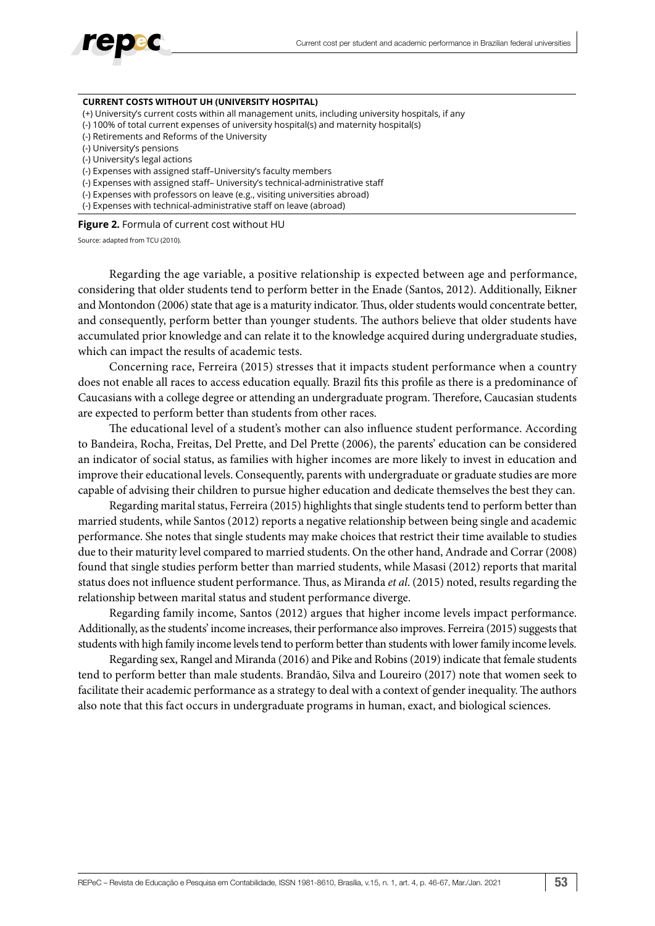

#### **CURRENT COSTS WITHOUT UH (UNIVERSITY HOSPITAL)**

- (+) University's current costs within all management units, including university hospitals, if any
- (-) 100% of total current expenses of university hospital(s) and maternity hospital(s)
- (-) Retirements and Reforms of the University
- (-) University's pensions
- (-) University's legal actions
- (-) Expenses with assigned staff–University's faculty members
- (-) Expenses with assigned staff– University's technical-administrative staff
- (-) Expenses with professors on leave (e.g., visiting universities abroad)
- (-) Expenses with technical-administrative staff on leave (abroad)

**Figure 2.** Formula of current cost without HU

Source: adapted from TCU (2010).

Regarding the age variable, a positive relationship is expected between age and performance, considering that older students tend to perform better in the Enade (Santos, 2012). Additionally, Eikner and Montondon (2006) state that age is a maturity indicator. Thus, older students would concentrate better, and consequently, perform better than younger students. The authors believe that older students have accumulated prior knowledge and can relate it to the knowledge acquired during undergraduate studies, which can impact the results of academic tests.

Concerning race, Ferreira (2015) stresses that it impacts student performance when a country does not enable all races to access education equally. Brazil fits this profile as there is a predominance of Caucasians with a college degree or attending an undergraduate program. Therefore, Caucasian students are expected to perform better than students from other races.

The educational level of a student's mother can also influence student performance. According to Bandeira, Rocha, Freitas, Del Prette, and Del Prette (2006), the parents' education can be considered an indicator of social status, as families with higher incomes are more likely to invest in education and improve their educational levels. Consequently, parents with undergraduate or graduate studies are more capable of advising their children to pursue higher education and dedicate themselves the best they can.

Regarding marital status, Ferreira (2015) highlights that single students tend to perform better than married students, while Santos (2012) reports a negative relationship between being single and academic performance. She notes that single students may make choices that restrict their time available to studies due to their maturity level compared to married students. On the other hand, Andrade and Corrar (2008) found that single studies perform better than married students, while Masasi (2012) reports that marital status does not influence student performance. Thus, as Miranda *et al*. (2015) noted, results regarding the relationship between marital status and student performance diverge.

Regarding family income, Santos (2012) argues that higher income levels impact performance. Additionally, as the students' income increases, their performance also improves. Ferreira (2015) suggests that students with high family income levels tend to perform better than students with lower family income levels.

Regarding sex, Rangel and Miranda (2016) and Pike and Robins (2019) indicate that female students tend to perform better than male students. Brandão, Silva and Loureiro (2017) note that women seek to facilitate their academic performance as a strategy to deal with a context of gender inequality. The authors also note that this fact occurs in undergraduate programs in human, exact, and biological sciences.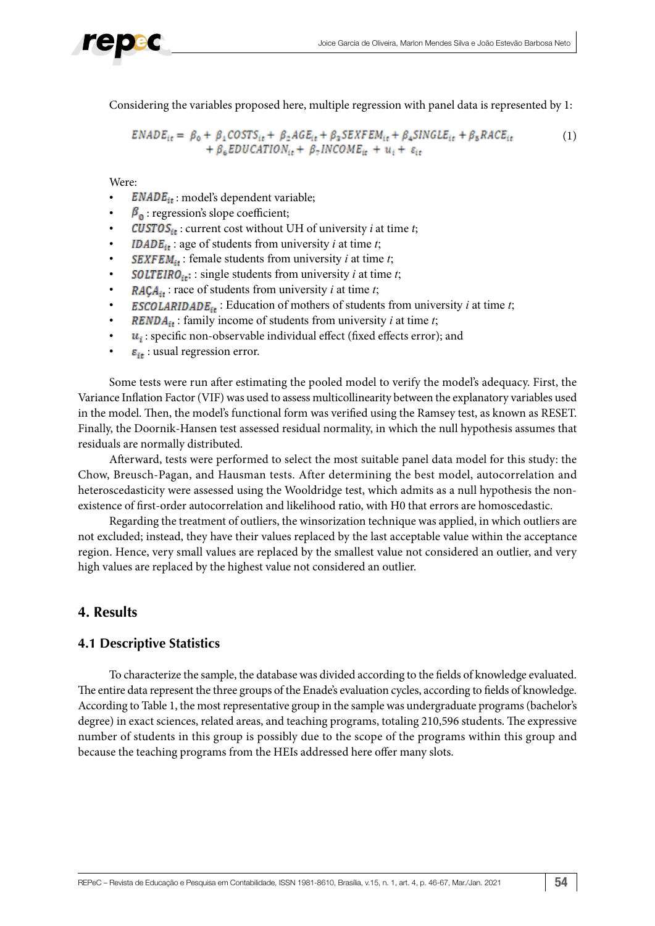Considering the variables proposed here, multiple regression with panel data is represented by 1:

$$
ENADE_{it} = \beta_0 + \beta_1 COSTS_{it} + \beta_2AGE_{it} + \beta_3 SEXFEM_{it} + \beta_4 SINGLE_{it} + \beta_5 RACE_{it}
$$
  
+  $\beta_6 EDUCATION_{it} + \beta_7 INCOME_{it} + u_i + \varepsilon_{it}$  (1)

Were:

- $$
- $\beta_{\rm n}$ : regression's slope coefficient;
- : current cost without UH of university *i* at time *t*;
- **IDADE**<sub>it</sub>: age of students from university *i* at time *t*;
- **SEXFEM**<sub>it</sub>: female students from university *i* at time *t*;
- **SOLTEIRO**<sub>it</sub>: single students from university *i* at time *t*;
- $RACA_{it}$ : race of students from university *i* at time *t*;
- **ESCOLARIDADE**<sub>it</sub>: Education of mothers of students from university *i* at time *t*;
- **RENDA**<sub>it</sub>: family income of students from university *i* at time *t*;
- $u_i$ : specific non-observable individual effect (fixed effects error); and
- $\epsilon_{it}$ : usual regression error.

Some tests were run after estimating the pooled model to verify the model's adequacy. First, the Variance Inflation Factor (VIF) was used to assess multicollinearity between the explanatory variables used in the model. Then, the model's functional form was verified using the Ramsey test, as known as RESET. Finally, the Doornik-Hansen test assessed residual normality, in which the null hypothesis assumes that residuals are normally distributed.

Afterward, tests were performed to select the most suitable panel data model for this study: the Chow, Breusch-Pagan, and Hausman tests. After determining the best model, autocorrelation and heteroscedasticity were assessed using the Wooldridge test, which admits as a null hypothesis the nonexistence of first-order autocorrelation and likelihood ratio, with H0 that errors are homoscedastic.

Regarding the treatment of outliers, the winsorization technique was applied, in which outliers are not excluded; instead, they have their values replaced by the last acceptable value within the acceptance region. Hence, very small values are replaced by the smallest value not considered an outlier, and very high values are replaced by the highest value not considered an outlier.

## **4. Results**

## **4.1 Descriptive Statistics**

To characterize the sample, the database was divided according to the fields of knowledge evaluated. The entire data represent the three groups of the Enade's evaluation cycles, according to fields of knowledge. According to Table 1, the most representative group in the sample was undergraduate programs (bachelor's degree) in exact sciences, related areas, and teaching programs, totaling 210,596 students. The expressive number of students in this group is possibly due to the scope of the programs within this group and because the teaching programs from the HEIs addressed here offer many slots.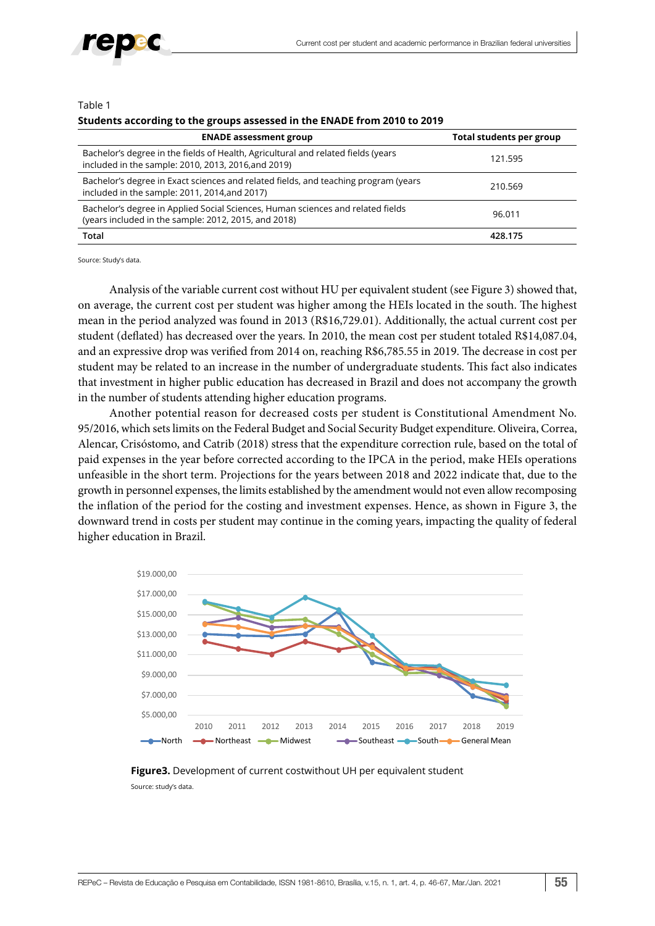

#### Table 1

#### **Students according to the groups assessed in the ENADE from 2010 to 2019**

| <b>ENADE assessment group</b>                                                                                                            | Total students per group |
|------------------------------------------------------------------------------------------------------------------------------------------|--------------------------|
| Bachelor's degree in the fields of Health, Agricultural and related fields (years<br>included in the sample: 2010, 2013, 2016, and 2019) | 121.595                  |
| Bachelor's degree in Exact sciences and related fields, and teaching program (years<br>included in the sample: 2011, 2014, and 2017)     | 210.569                  |
| Bachelor's degree in Applied Social Sciences, Human sciences and related fields<br>(years included in the sample: 2012, 2015, and 2018)  | 96.011                   |
| Total                                                                                                                                    | 428.175                  |

Source: Study's data.

Analysis of the variable current cost without HU per equivalent student (see Figure 3) showed that, on average, the current cost per student was higher among the HEIs located in the south. The highest mean in the period analyzed was found in 2013 (R\$16,729.01). Additionally, the actual current cost per student (deflated) has decreased over the years. In 2010, the mean cost per student totaled R\$14,087.04, and an expressive drop was verified from 2014 on, reaching R\$6,785.55 in 2019. The decrease in cost per student may be related to an increase in the number of undergraduate students. This fact also indicates that investment in higher public education has decreased in Brazil and does not accompany the growth in the number of students attending higher education programs.

Another potential reason for decreased costs per student is Constitutional Amendment No. 95/2016, which sets limits on the Federal Budget and Social Security Budget expenditure. Oliveira, Correa, Alencar, Crisóstomo, and Catrib (2018) stress that the expenditure correction rule, based on the total of paid expenses in the year before corrected according to the IPCA in the period, make HEIs operations unfeasible in the short term. Projections for the years between 2018 and 2022 indicate that, due to the growth in personnel expenses, the limits established by the amendment would not even allow recomposing the inflation of the period for the costing and investment expenses. Hence, as shown in Figure 3, the downward trend in costs per student may continue in the coming years, impacting the quality of federal higher education in Brazil.



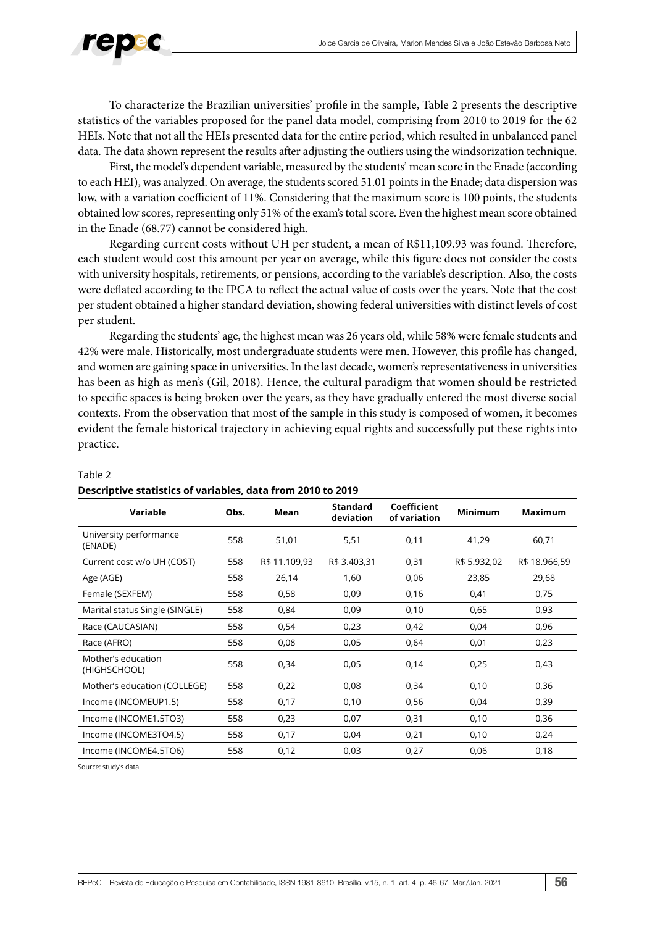

To characterize the Brazilian universities' profile in the sample, Table 2 presents the descriptive statistics of the variables proposed for the panel data model, comprising from 2010 to 2019 for the 62 HEIs. Note that not all the HEIs presented data for the entire period, which resulted in unbalanced panel data. The data shown represent the results after adjusting the outliers using the windsorization technique.

First, the model's dependent variable, measured by the students' mean score in the Enade (according to each HEI), was analyzed. On average, the students scored 51.01 points in the Enade; data dispersion was low, with a variation coefficient of 11%. Considering that the maximum score is 100 points, the students obtained low scores, representing only 51% of the exam's total score. Even the highest mean score obtained in the Enade (68.77) cannot be considered high.

Regarding current costs without UH per student, a mean of R\$11,109.93 was found. Therefore, each student would cost this amount per year on average, while this figure does not consider the costs with university hospitals, retirements, or pensions, according to the variable's description. Also, the costs were deflated according to the IPCA to reflect the actual value of costs over the years. Note that the cost per student obtained a higher standard deviation, showing federal universities with distinct levels of cost per student.

Regarding the students' age, the highest mean was 26 years old, while 58% were female students and 42% were male. Historically, most undergraduate students were men. However, this profile has changed, and women are gaining space in universities. In the last decade, women's representativeness in universities has been as high as men's (Gil, 2018). Hence, the cultural paradigm that women should be restricted to specific spaces is being broken over the years, as they have gradually entered the most diverse social contexts. From the observation that most of the sample in this study is composed of women, it becomes evident the female historical trajectory in achieving equal rights and successfully put these rights into practice.

| Variable                           | Obs. | Mean          | <b>Standard</b><br>deviation | Coefficient<br>of variation | <b>Minimum</b> | <b>Maximum</b> |
|------------------------------------|------|---------------|------------------------------|-----------------------------|----------------|----------------|
| University performance<br>(ENADE)  | 558  | 51,01         | 5,51                         | 0,11                        | 41,29          | 60,71          |
| Current cost w/o UH (COST)         | 558  | R\$ 11.109,93 | R\$ 3.403,31                 | 0,31                        | R\$ 5.932,02   | R\$ 18.966,59  |
| Age (AGE)                          | 558  | 26,14         | 1,60                         | 0,06                        | 23,85          | 29,68          |
| Female (SEXFEM)                    | 558  | 0,58          | 0,09                         | 0,16                        | 0,41           | 0,75           |
| Marital status Single (SINGLE)     | 558  | 0,84          | 0,09                         | 0,10                        | 0,65           | 0,93           |
| Race (CAUCASIAN)                   | 558  | 0,54          | 0,23                         | 0,42                        | 0,04           | 0,96           |
| Race (AFRO)                        | 558  | 0,08          | 0,05                         | 0,64                        | 0,01           | 0,23           |
| Mother's education<br>(HIGHSCHOOL) | 558  | 0,34          | 0,05                         | 0,14                        | 0,25           | 0,43           |
| Mother's education (COLLEGE)       | 558  | 0,22          | 0,08                         | 0,34                        | 0,10           | 0,36           |
| Income (INCOMEUP1.5)               | 558  | 0,17          | 0,10                         | 0,56                        | 0,04           | 0,39           |
| Income (INCOME1.5TO3)              | 558  | 0,23          | 0,07                         | 0,31                        | 0,10           | 0,36           |
| Income (INCOME3TO4.5)              | 558  | 0,17          | 0,04                         | 0,21                        | 0,10           | 0,24           |
| Income (INCOME4.5TO6)              | 558  | 0,12          | 0,03                         | 0,27                        | 0,06           | 0,18           |

### Table 2

#### **Descriptive statistics of variables, data from 2010 to 2019**

Source: study's data.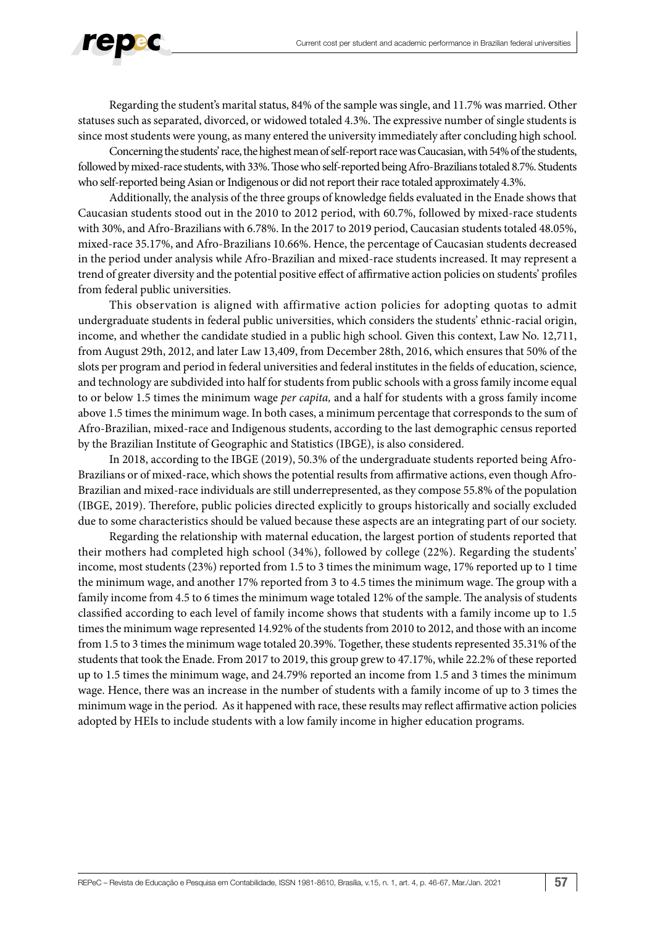

Regarding the student's marital status, 84% of the sample was single, and 11.7% was married. Other statuses such as separated, divorced, or widowed totaled 4.3%. The expressive number of single students is since most students were young, as many entered the university immediately after concluding high school.

Concerning the students' race, the highest mean of self-report race was Caucasian, with 54% of the students, followed by mixed-race students, with 33%. Those who self-reported being Afro-Brazilians totaled 8.7%. Students who self-reported being Asian or Indigenous or did not report their race totaled approximately 4.3%.

Additionally, the analysis of the three groups of knowledge fields evaluated in the Enade shows that Caucasian students stood out in the 2010 to 2012 period, with 60.7%, followed by mixed-race students with 30%, and Afro-Brazilians with 6.78%. In the 2017 to 2019 period, Caucasian students totaled 48.05%, mixed-race 35.17%, and Afro-Brazilians 10.66%. Hence, the percentage of Caucasian students decreased in the period under analysis while Afro-Brazilian and mixed-race students increased. It may represent a trend of greater diversity and the potential positive effect of affirmative action policies on students' profiles from federal public universities.

This observation is aligned with affirmative action policies for adopting quotas to admit undergraduate students in federal public universities, which considers the students' ethnic-racial origin, income, and whether the candidate studied in a public high school. Given this context, Law No. 12,711, from August 29th, 2012, and later Law 13,409, from December 28th, 2016, which ensures that 50% of the slots per program and period in federal universities and federal institutes in the fields of education, science, and technology are subdivided into half for students from public schools with a gross family income equal to or below 1.5 times the minimum wage *per capita,* and a half for students with a gross family income above 1.5 times the minimum wage. In both cases, a minimum percentage that corresponds to the sum of Afro-Brazilian, mixed-race and Indigenous students, according to the last demographic census reported by the Brazilian Institute of Geographic and Statistics (IBGE), is also considered.

In 2018, according to the IBGE (2019), 50.3% of the undergraduate students reported being Afro-Brazilians or of mixed-race, which shows the potential results from affirmative actions, even though Afro-Brazilian and mixed-race individuals are still underrepresented, as they compose 55.8% of the population (IBGE, 2019). Therefore, public policies directed explicitly to groups historically and socially excluded due to some characteristics should be valued because these aspects are an integrating part of our society.

Regarding the relationship with maternal education, the largest portion of students reported that their mothers had completed high school (34%), followed by college (22%). Regarding the students' income, most students (23%) reported from 1.5 to 3 times the minimum wage, 17% reported up to 1 time the minimum wage, and another 17% reported from 3 to 4.5 times the minimum wage. The group with a family income from 4.5 to 6 times the minimum wage totaled 12% of the sample. The analysis of students classified according to each level of family income shows that students with a family income up to 1.5 times the minimum wage represented 14.92% of the students from 2010 to 2012, and those with an income from 1.5 to 3 times the minimum wage totaled 20.39%. Together, these students represented 35.31% of the students that took the Enade. From 2017 to 2019, this group grew to 47.17%, while 22.2% of these reported up to 1.5 times the minimum wage, and 24.79% reported an income from 1.5 and 3 times the minimum wage. Hence, there was an increase in the number of students with a family income of up to 3 times the minimum wage in the period. As it happened with race, these results may reflect affirmative action policies adopted by HEIs to include students with a low family income in higher education programs.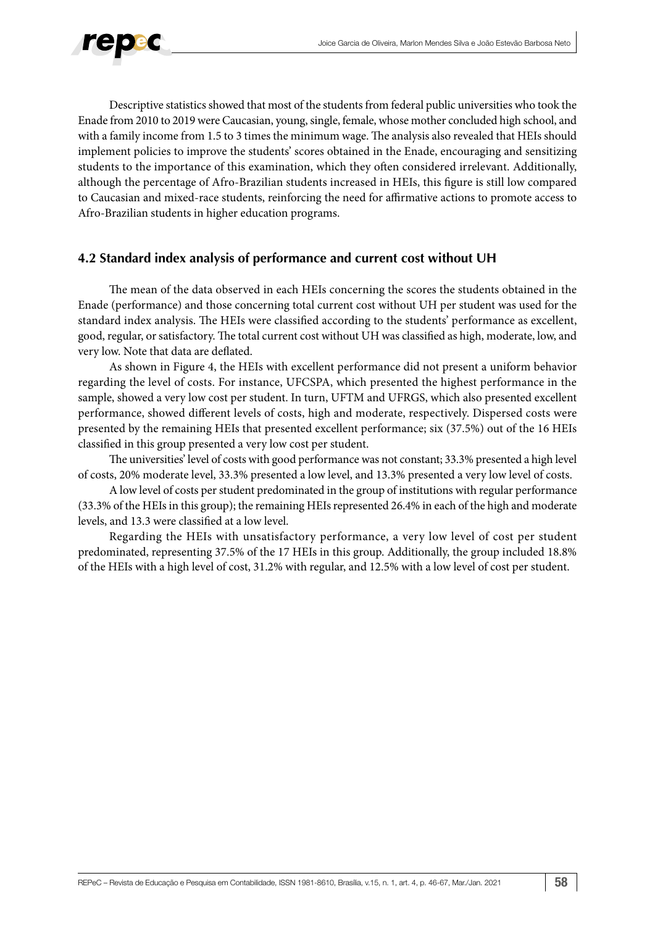

Descriptive statistics showed that most of the students from federal public universities who took the Enade from 2010 to 2019 were Caucasian, young, single, female, whose mother concluded high school, and with a family income from 1.5 to 3 times the minimum wage. The analysis also revealed that HEIs should implement policies to improve the students' scores obtained in the Enade, encouraging and sensitizing students to the importance of this examination, which they often considered irrelevant. Additionally, although the percentage of Afro-Brazilian students increased in HEIs, this figure is still low compared to Caucasian and mixed-race students, reinforcing the need for affirmative actions to promote access to Afro-Brazilian students in higher education programs.

## **4.2 Standard index analysis of performance and current cost without UH**

The mean of the data observed in each HEIs concerning the scores the students obtained in the Enade (performance) and those concerning total current cost without UH per student was used for the standard index analysis. The HEIs were classified according to the students' performance as excellent, good, regular, or satisfactory. The total current cost without UH was classified as high, moderate, low, and very low. Note that data are deflated.

As shown in Figure 4, the HEIs with excellent performance did not present a uniform behavior regarding the level of costs. For instance, UFCSPA, which presented the highest performance in the sample, showed a very low cost per student. In turn, UFTM and UFRGS, which also presented excellent performance, showed different levels of costs, high and moderate, respectively. Dispersed costs were presented by the remaining HEIs that presented excellent performance; six (37.5%) out of the 16 HEIs classified in this group presented a very low cost per student.

The universities' level of costs with good performance was not constant; 33.3% presented a high level of costs, 20% moderate level, 33.3% presented a low level, and 13.3% presented a very low level of costs.

A low level of costs per student predominated in the group of institutions with regular performance (33.3% of the HEIs in this group); the remaining HEIs represented 26.4% in each of the high and moderate levels, and 13.3 were classified at a low level.

Regarding the HEIs with unsatisfactory performance, a very low level of cost per student predominated, representing 37.5% of the 17 HEIs in this group. Additionally, the group included 18.8% of the HEIs with a high level of cost, 31.2% with regular, and 12.5% with a low level of cost per student.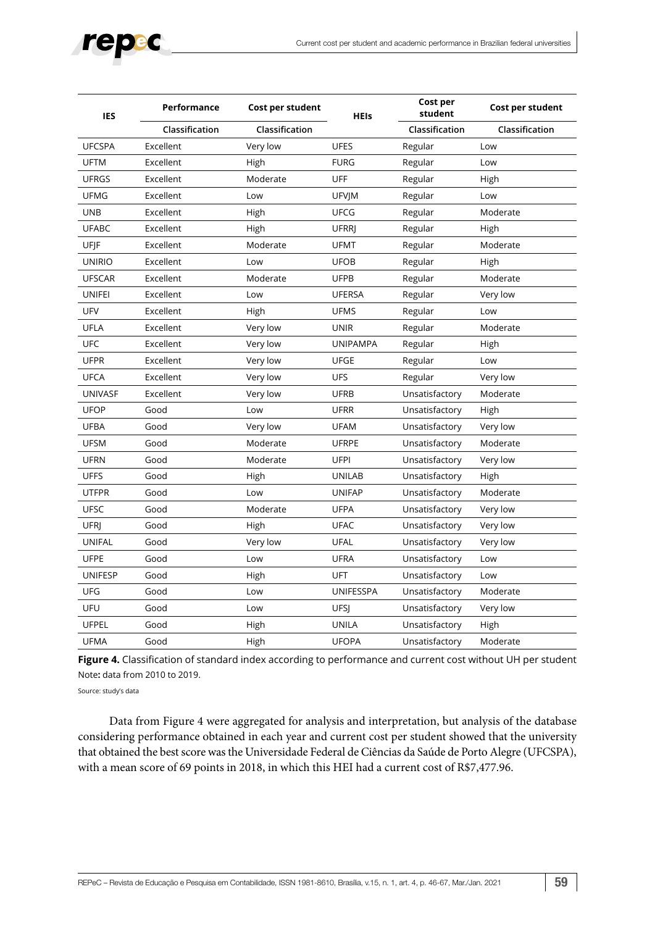

| <b>IES</b>     | Performance    | Cost per student | <b>HEIs</b>     | Cost per<br>student | Cost per student |  |
|----------------|----------------|------------------|-----------------|---------------------|------------------|--|
|                | Classification | Classification   |                 | Classification      | Classification   |  |
| <b>UFCSPA</b>  | Excellent      | Very low         | <b>UFES</b>     | Regular             | Low              |  |
| <b>UFTM</b>    | Excellent      | High             | <b>FURG</b>     | Regular             | Low              |  |
| <b>UFRGS</b>   | Excellent      | Moderate         | <b>UFF</b>      | Regular             | High             |  |
| <b>UFMG</b>    | Excellent      | Low              | <b>UFVIM</b>    | Regular             | Low              |  |
| <b>UNB</b>     | Excellent      | High             | <b>UFCG</b>     | Regular             | Moderate         |  |
| <b>UFABC</b>   | Excellent      | High             | <b>UFRRI</b>    | Regular             | High             |  |
| UFJF           | Excellent      | Moderate         | <b>UFMT</b>     | Regular             | Moderate         |  |
| <b>UNIRIO</b>  | Excellent      | Low              | <b>UFOB</b>     | Regular             | High             |  |
| <b>UFSCAR</b>  | Excellent      | Moderate         | <b>UFPB</b>     | Regular             | Moderate         |  |
| <b>UNIFEI</b>  | Excellent      | Low              | <b>UFERSA</b>   | Regular             | Very low         |  |
| UFV            | Excellent      | High             | <b>UFMS</b>     | Regular             | Low              |  |
| UFLA           | Excellent      | Very low         | <b>UNIR</b>     | Regular             | Moderate         |  |
| <b>UFC</b>     | Excellent      | Very low         | <b>UNIPAMPA</b> | Regular             | High             |  |
| <b>UFPR</b>    | Excellent      | Very low         | <b>UFGE</b>     | Regular             | Low              |  |
| <b>UFCA</b>    | Excellent      | Very low         | <b>UFS</b>      | Regular             | Very low         |  |
| <b>UNIVASF</b> | Excellent      | Very low         | <b>UFRB</b>     | Unsatisfactory      | Moderate         |  |
| <b>UFOP</b>    | Good           | Low              | <b>UFRR</b>     | Unsatisfactory      | High             |  |
| <b>UFBA</b>    | Good           | Very low         | <b>UFAM</b>     | Unsatisfactory      | Very low         |  |
| <b>UFSM</b>    | Good           | Moderate         | <b>UFRPE</b>    | Unsatisfactory      | Moderate         |  |
| <b>UFRN</b>    | Good           | Moderate         | <b>UFPI</b>     | Unsatisfactory      | Very low         |  |
| <b>UFFS</b>    | Good           | High             | <b>UNILAB</b>   | Unsatisfactory      | High             |  |
| <b>UTFPR</b>   | Good           | Low              | <b>UNIFAP</b>   | Unsatisfactory      | Moderate         |  |
| <b>UFSC</b>    | Good           | Moderate         | <b>UFPA</b>     | Unsatisfactory      | Very low         |  |
| <b>UFRI</b>    | Good           | High             | <b>UFAC</b>     | Unsatisfactory      | Very low         |  |
| <b>UNIFAL</b>  | Good           | Very low         | <b>UFAL</b>     | Unsatisfactory      | Very low         |  |
| <b>UFPE</b>    | Good           | Low              | <b>UFRA</b>     | Unsatisfactory      | Low              |  |
| <b>UNIFESP</b> | Good           | High             | UFT             | Unsatisfactory      | Low              |  |
| UFG            | Good           | Low              | UNIFESSPA       | Unsatisfactory      | Moderate         |  |
| UFU            | Good           | Low              | <b>UFSI</b>     | Unsatisfactory      | Very low         |  |
| <b>UFPEL</b>   | Good           | High             | <b>UNILA</b>    | Unsatisfactory      | High             |  |
| <b>UFMA</b>    | Good           | High             | <b>UFOPA</b>    | Unsatisfactory      | Moderate         |  |

**Figure 4.** Classification of standard index according to performance and current cost without UH per student Note**:** data from 2010 to 2019.

Source: study's data

Data from Figure 4 were aggregated for analysis and interpretation, but analysis of the database considering performance obtained in each year and current cost per student showed that the university that obtained the best score was the Universidade Federal de Ciências da Saúde de Porto Alegre (UFCSPA), with a mean score of 69 points in 2018, in which this HEI had a current cost of R\$7,477.96.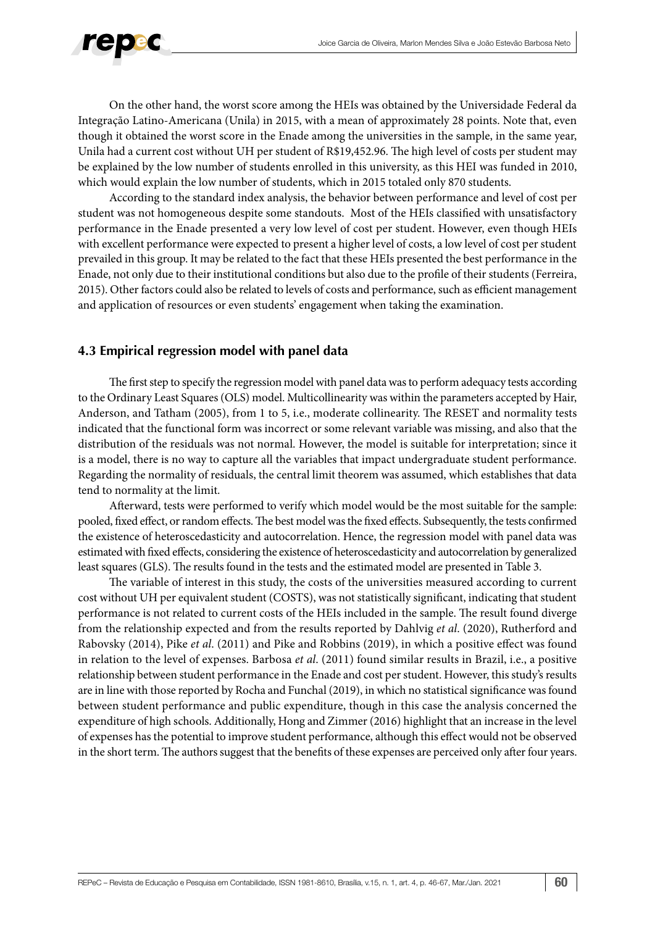

On the other hand, the worst score among the HEIs was obtained by the Universidade Federal da Integração Latino-Americana (Unila) in 2015, with a mean of approximately 28 points. Note that, even though it obtained the worst score in the Enade among the universities in the sample, in the same year, Unila had a current cost without UH per student of R\$19,452.96. The high level of costs per student may be explained by the low number of students enrolled in this university, as this HEI was funded in 2010, which would explain the low number of students, which in 2015 totaled only 870 students.

According to the standard index analysis, the behavior between performance and level of cost per student was not homogeneous despite some standouts. Most of the HEIs classified with unsatisfactory performance in the Enade presented a very low level of cost per student. However, even though HEIs with excellent performance were expected to present a higher level of costs, a low level of cost per student prevailed in this group. It may be related to the fact that these HEIs presented the best performance in the Enade, not only due to their institutional conditions but also due to the profile of their students (Ferreira, 2015). Other factors could also be related to levels of costs and performance, such as efficient management and application of resources or even students' engagement when taking the examination.

## **4.3 Empirical regression model with panel data**

The first step to specify the regression model with panel data was to perform adequacy tests according to the Ordinary Least Squares (OLS) model. Multicollinearity was within the parameters accepted by Hair, Anderson, and Tatham (2005), from 1 to 5, i.e., moderate collinearity. The RESET and normality tests indicated that the functional form was incorrect or some relevant variable was missing, and also that the distribution of the residuals was not normal. However, the model is suitable for interpretation; since it is a model, there is no way to capture all the variables that impact undergraduate student performance. Regarding the normality of residuals, the central limit theorem was assumed, which establishes that data tend to normality at the limit.

Afterward, tests were performed to verify which model would be the most suitable for the sample: pooled, fixed effect, or random effects. The best model was the fixed effects. Subsequently, the tests confirmed the existence of heteroscedasticity and autocorrelation. Hence, the regression model with panel data was estimated with fixed effects, considering the existence of heteroscedasticity and autocorrelation by generalized least squares (GLS). The results found in the tests and the estimated model are presented in Table 3.

The variable of interest in this study, the costs of the universities measured according to current cost without UH per equivalent student (COSTS), was not statistically significant, indicating that student performance is not related to current costs of the HEIs included in the sample. The result found diverge from the relationship expected and from the results reported by Dahlvig *et al*. (2020), Rutherford and Rabovsky (2014), Pike *et al*. (2011) and Pike and Robbins (2019), in which a positive effect was found in relation to the level of expenses. Barbosa *et al*. (2011) found similar results in Brazil, i.e., a positive relationship between student performance in the Enade and cost per student. However, this study's results are in line with those reported by Rocha and Funchal (2019), in which no statistical significance was found between student performance and public expenditure, though in this case the analysis concerned the expenditure of high schools. Additionally, Hong and Zimmer (2016) highlight that an increase in the level of expenses has the potential to improve student performance, although this effect would not be observed in the short term. The authors suggest that the benefits of these expenses are perceived only after four years.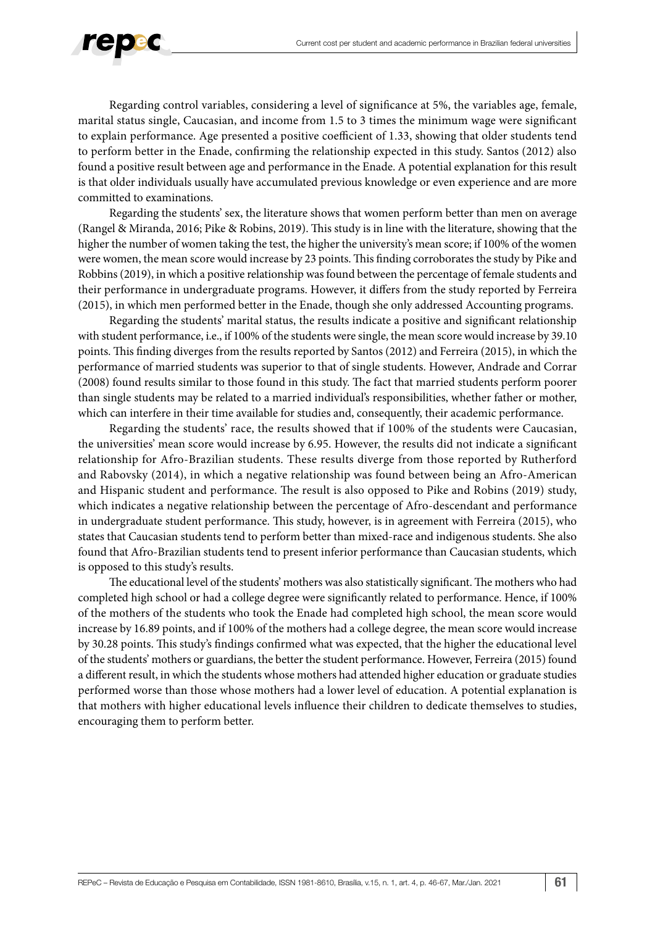

Regarding control variables, considering a level of significance at 5%, the variables age, female, marital status single, Caucasian, and income from 1.5 to 3 times the minimum wage were significant to explain performance. Age presented a positive coefficient of 1.33, showing that older students tend to perform better in the Enade, confirming the relationship expected in this study. Santos (2012) also found a positive result between age and performance in the Enade. A potential explanation for this result is that older individuals usually have accumulated previous knowledge or even experience and are more committed to examinations.

Regarding the students' sex, the literature shows that women perform better than men on average (Rangel & Miranda, 2016; Pike & Robins, 2019). This study is in line with the literature, showing that the higher the number of women taking the test, the higher the university's mean score; if 100% of the women were women, the mean score would increase by 23 points. This finding corroborates the study by Pike and Robbins (2019), in which a positive relationship was found between the percentage of female students and their performance in undergraduate programs. However, it differs from the study reported by Ferreira (2015), in which men performed better in the Enade, though she only addressed Accounting programs.

Regarding the students' marital status, the results indicate a positive and significant relationship with student performance, i.e., if 100% of the students were single, the mean score would increase by 39.10 points. This finding diverges from the results reported by Santos (2012) and Ferreira (2015), in which the performance of married students was superior to that of single students. However, Andrade and Corrar (2008) found results similar to those found in this study. The fact that married students perform poorer than single students may be related to a married individual's responsibilities, whether father or mother, which can interfere in their time available for studies and, consequently, their academic performance.

Regarding the students' race, the results showed that if 100% of the students were Caucasian, the universities' mean score would increase by 6.95. However, the results did not indicate a significant relationship for Afro-Brazilian students. These results diverge from those reported by Rutherford and Rabovsky (2014), in which a negative relationship was found between being an Afro-American and Hispanic student and performance. The result is also opposed to Pike and Robins (2019) study, which indicates a negative relationship between the percentage of Afro-descendant and performance in undergraduate student performance. This study, however, is in agreement with Ferreira (2015), who states that Caucasian students tend to perform better than mixed-race and indigenous students. She also found that Afro-Brazilian students tend to present inferior performance than Caucasian students, which is opposed to this study's results.

The educational level of the students' mothers was also statistically significant. The mothers who had completed high school or had a college degree were significantly related to performance. Hence, if 100% of the mothers of the students who took the Enade had completed high school, the mean score would increase by 16.89 points, and if 100% of the mothers had a college degree, the mean score would increase by 30.28 points. This study's findings confirmed what was expected, that the higher the educational level of the students' mothers or guardians, the better the student performance. However, Ferreira (2015) found a different result, in which the students whose mothers had attended higher education or graduate studies performed worse than those whose mothers had a lower level of education. A potential explanation is that mothers with higher educational levels influence their children to dedicate themselves to studies, encouraging them to perform better.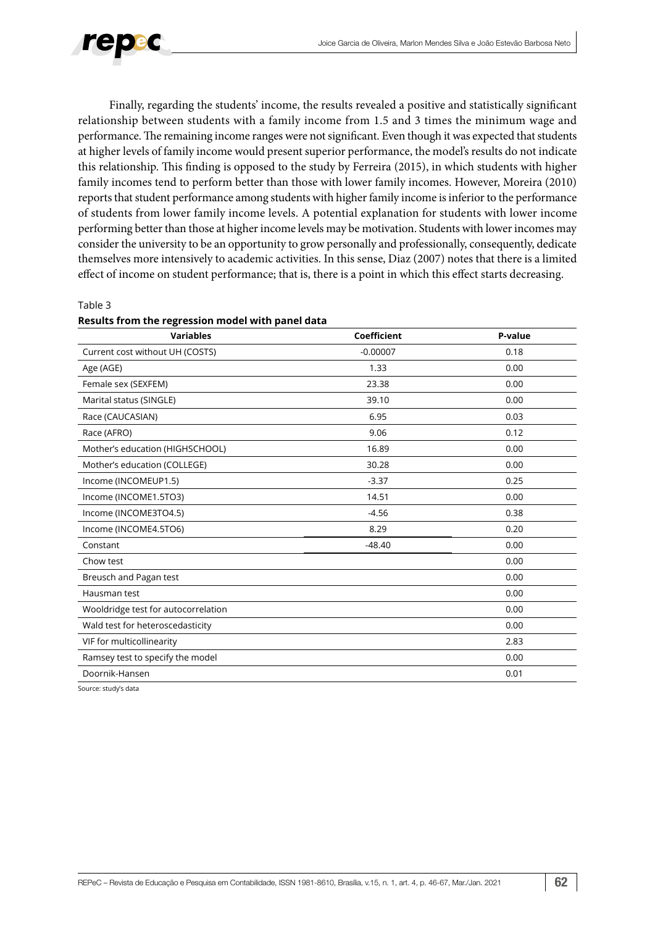

Finally, regarding the students' income, the results revealed a positive and statistically significant relationship between students with a family income from 1.5 and 3 times the minimum wage and performance. The remaining income ranges were not significant. Even though it was expected that students at higher levels of family income would present superior performance, the model's results do not indicate this relationship. This finding is opposed to the study by Ferreira (2015), in which students with higher family incomes tend to perform better than those with lower family incomes. However, Moreira (2010) reports that student performance among students with higher family income is inferior to the performance of students from lower family income levels. A potential explanation for students with lower income performing better than those at higher income levels may be motivation. Students with lower incomes may consider the university to be an opportunity to grow personally and professionally, consequently, dedicate themselves more intensively to academic activities. In this sense, Diaz (2007) notes that there is a limited effect of income on student performance; that is, there is a point in which this effect starts decreasing.

#### Table 3

### **Results from the regression model with panel data**

| <b>Variables</b>                    | Coefficient | P-value |
|-------------------------------------|-------------|---------|
| Current cost without UH (COSTS)     | $-0.00007$  | 0.18    |
| Age (AGE)                           | 1.33        | 0.00    |
| Female sex (SEXFEM)                 | 23.38       | 0.00    |
| Marital status (SINGLE)             | 39.10       | 0.00    |
| Race (CAUCASIAN)                    | 6.95        | 0.03    |
| Race (AFRO)                         | 9.06        | 0.12    |
| Mother's education (HIGHSCHOOL)     | 16.89       | 0.00    |
| Mother's education (COLLEGE)        | 30.28       | 0.00    |
| Income (INCOMEUP1.5)                | $-3.37$     | 0.25    |
| Income (INCOME1.5TO3)               | 14.51       | 0.00    |
| Income (INCOME3TO4.5)               | $-4.56$     | 0.38    |
| Income (INCOME4.5TO6)               | 8.29        | 0.20    |
| Constant                            | $-48.40$    | 0.00    |
| Chow test                           |             | 0.00    |
| Breusch and Pagan test              |             | 0.00    |
| Hausman test                        |             | 0.00    |
| Wooldridge test for autocorrelation |             | 0.00    |
| Wald test for heteroscedasticity    |             | 0.00    |
| VIF for multicollinearity           |             | 2.83    |
| Ramsey test to specify the model    |             | 0.00    |
| Doornik-Hansen                      |             | 0.01    |
| $Conversc.$ study's data            |             |         |

Source: study's data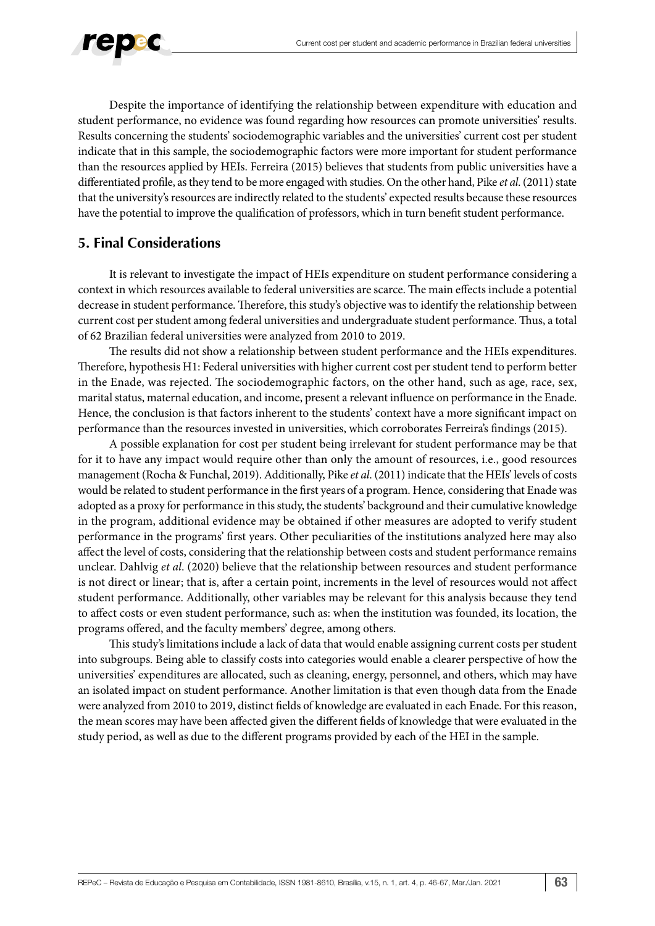

Despite the importance of identifying the relationship between expenditure with education and student performance, no evidence was found regarding how resources can promote universities' results. Results concerning the students' sociodemographic variables and the universities' current cost per student indicate that in this sample, the sociodemographic factors were more important for student performance than the resources applied by HEIs. Ferreira (2015) believes that students from public universities have a differentiated profile, as they tend to be more engaged with studies. On the other hand, Pike *et al*. (2011) state that the university's resources are indirectly related to the students' expected results because these resources have the potential to improve the qualification of professors, which in turn benefit student performance.

## **5. Final Considerations**

It is relevant to investigate the impact of HEIs expenditure on student performance considering a context in which resources available to federal universities are scarce. The main effects include a potential decrease in student performance. Therefore, this study's objective was to identify the relationship between current cost per student among federal universities and undergraduate student performance. Thus, a total of 62 Brazilian federal universities were analyzed from 2010 to 2019.

The results did not show a relationship between student performance and the HEIs expenditures. Therefore, hypothesis H1: Federal universities with higher current cost per student tend to perform better in the Enade, was rejected. The sociodemographic factors, on the other hand, such as age, race, sex, marital status, maternal education, and income, present a relevant influence on performance in the Enade. Hence, the conclusion is that factors inherent to the students' context have a more significant impact on performance than the resources invested in universities, which corroborates Ferreira's findings (2015).

A possible explanation for cost per student being irrelevant for student performance may be that for it to have any impact would require other than only the amount of resources, i.e., good resources management (Rocha & Funchal, 2019). Additionally, Pike *et al*. (2011) indicate that the HEIs' levels of costs would be related to student performance in the first years of a program. Hence, considering that Enade was adopted as a proxy for performance in this study, the students' background and their cumulative knowledge in the program, additional evidence may be obtained if other measures are adopted to verify student performance in the programs' first years. Other peculiarities of the institutions analyzed here may also affect the level of costs, considering that the relationship between costs and student performance remains unclear. Dahlvig *et al*. (2020) believe that the relationship between resources and student performance is not direct or linear; that is, after a certain point, increments in the level of resources would not affect student performance. Additionally, other variables may be relevant for this analysis because they tend to affect costs or even student performance, such as: when the institution was founded, its location, the programs offered, and the faculty members' degree, among others.

This study's limitations include a lack of data that would enable assigning current costs per student into subgroups. Being able to classify costs into categories would enable a clearer perspective of how the universities' expenditures are allocated, such as cleaning, energy, personnel, and others, which may have an isolated impact on student performance. Another limitation is that even though data from the Enade were analyzed from 2010 to 2019, distinct fields of knowledge are evaluated in each Enade. For this reason, the mean scores may have been affected given the different fields of knowledge that were evaluated in the study period, as well as due to the different programs provided by each of the HEI in the sample.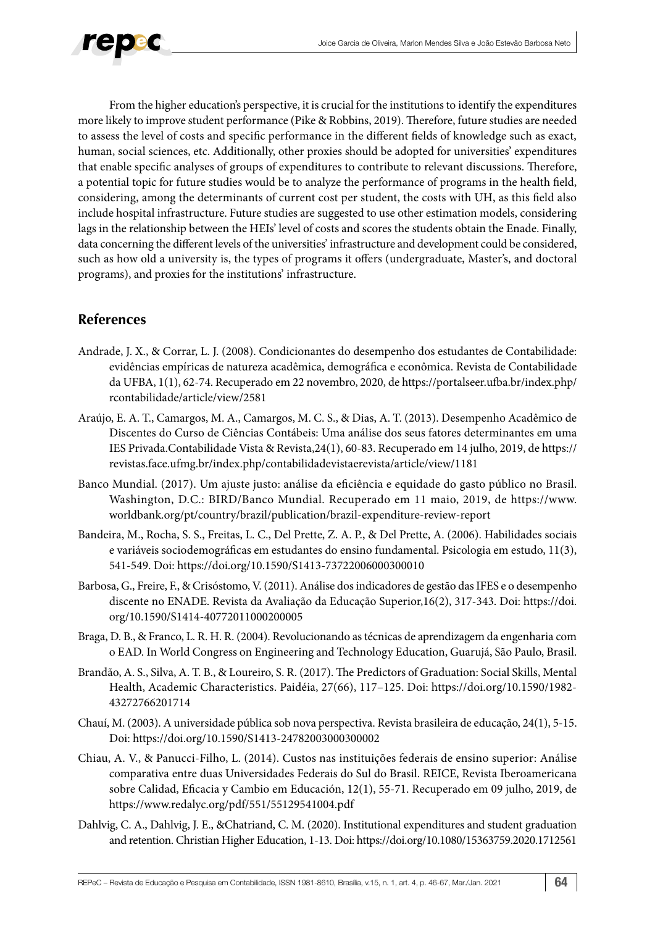

From the higher education's perspective, it is crucial for the institutions to identify the expenditures more likely to improve student performance (Pike & Robbins, 2019). Therefore, future studies are needed to assess the level of costs and specific performance in the different fields of knowledge such as exact, human, social sciences, etc. Additionally, other proxies should be adopted for universities' expenditures that enable specific analyses of groups of expenditures to contribute to relevant discussions. Therefore, a potential topic for future studies would be to analyze the performance of programs in the health field, considering, among the determinants of current cost per student, the costs with UH, as this field also include hospital infrastructure. Future studies are suggested to use other estimation models, considering lags in the relationship between the HEIs' level of costs and scores the students obtain the Enade. Finally, data concerning the different levels of the universities' infrastructure and development could be considered, such as how old a university is, the types of programs it offers (undergraduate, Master's, and doctoral programs), and proxies for the institutions' infrastructure.

## **References**

- Andrade, J. X., & Corrar, L. J. (2008). Condicionantes do desempenho dos estudantes de Contabilidade: evidências empíricas de natureza acadêmica, demográfica e econômica. Revista de Contabilidade da UFBA, 1(1), 62-74. Recuperado em 22 novembro, 2020, de https://portalseer.ufba.br/index.php/ rcontabilidade/article/view/2581
- Araújo, E. A. T., Camargos, M. A., Camargos, M. C. S., & Dias, A. T. (2013). Desempenho Acadêmico de Discentes do Curso de Ciências Contábeis: Uma análise dos seus fatores determinantes em uma IES Privada.Contabilidade Vista & Revista,24(1), 60-83. Recuperado em 14 julho, 2019, de https:// revistas.face.ufmg.br/index.php/contabilidadevistaerevista/article/view/1181
- Banco Mundial. (2017). Um ajuste justo: análise da eficiência e equidade do gasto público no Brasil. Washington, D.C.: BIRD/Banco Mundial. Recuperado em 11 maio, 2019, de https://www. worldbank.org/pt/country/brazil/publication/brazil-expenditure-review-report
- Bandeira, M., Rocha, S. S., Freitas, L. C., Del Prette, Z. A. P., & Del Prette, A. (2006). Habilidades sociais e variáveis sociodemográficas em estudantes do ensino fundamental. Psicologia em estudo, 11(3), 541-549. Doi: https://doi.org/10.1590/S1413-73722006000300010
- Barbosa, G., Freire, F., & Crisóstomo, V. (2011). Análise dos indicadores de gestão das IFES e o desempenho discente no ENADE. Revista da Avaliação da Educação Superior,16(2), 317-343. Doi: https://doi. org/10.1590/S1414-40772011000200005
- Braga, D. B., & Franco, L. R. H. R. (2004). Revolucionando as técnicas de aprendizagem da engenharia com o EAD. In World Congress on Engineering and Technology Education, Guarujá, São Paulo, Brasil.
- Brandão, A. S., Silva, A. T. B., & Loureiro, S. R. (2017). The Predictors of Graduation: Social Skills, Mental Health, Academic Characteristics. Paidéia, 27(66), 117–125. Doi: https://doi.org/10.1590/1982- 43272766201714
- Chauí, M. (2003). A universidade pública sob nova perspectiva. Revista brasileira de educação, 24(1), 5-15. Doi: https://doi.org/10.1590/S1413-24782003000300002
- Chiau, A. V., & Panucci-Filho, L. (2014). Custos nas instituições federais de ensino superior: Análise comparativa entre duas Universidades Federais do Sul do Brasil. REICE, Revista Iberoamericana sobre Calidad, Eficacia y Cambio em Educación, 12(1), 55-71. Recuperado em 09 julho, 2019, de https://www.redalyc.org/pdf/551/55129541004.pdf
- Dahlvig, C. A., Dahlvig, J. E., &Chatriand, C. M. (2020). Institutional expenditures and student graduation and retention. Christian Higher Education, 1-13. Doi: https://doi.org/10.1080/15363759.2020.1712561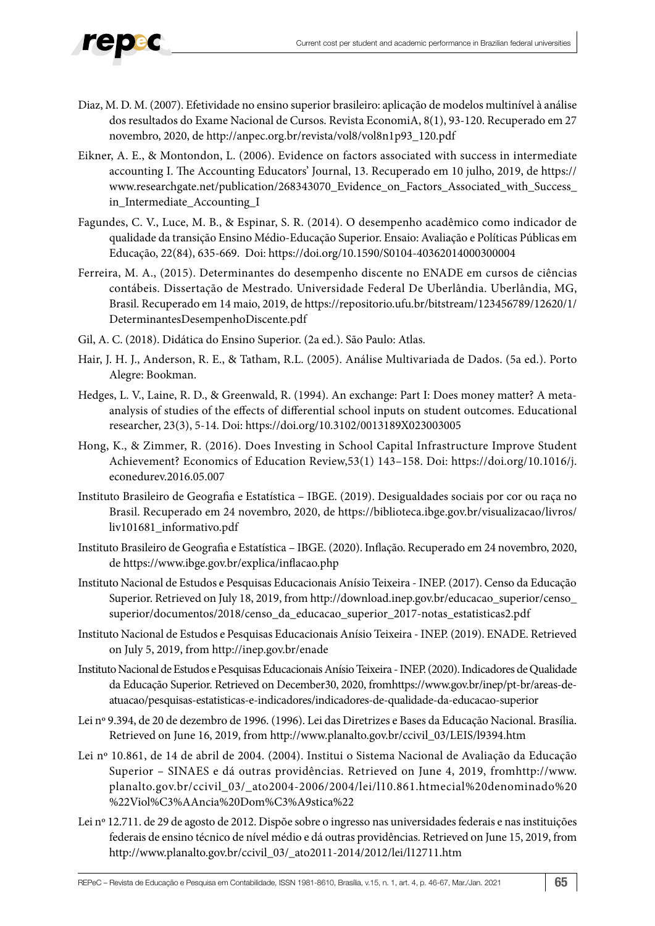

- Diaz, M. D. M. (2007). Efetividade no ensino superior brasileiro: aplicação de modelos multinível à análise dos resultados do Exame Nacional de Cursos. Revista EconomiA, 8(1), 93-120. Recuperado em 27 novembro, 2020, de http://anpec.org.br/revista/vol8/vol8n1p93\_120.pdf
- Eikner, A. E., & Montondon, L. (2006). Evidence on factors associated with success in intermediate accounting I. The Accounting Educators' Journal, 13. Recuperado em 10 julho, 2019, de https:// www.researchgate.net/publication/268343070\_Evidence\_on\_Factors\_Associated\_with\_Success\_ in\_Intermediate\_Accounting\_I
- Fagundes, C. V., Luce, M. B., & Espinar, S. R. (2014). O desempenho acadêmico como indicador de qualidade da transição Ensino Médio-Educação Superior. Ensaio: Avaliação e Políticas Públicas em Educação, 22(84), 635-669. Doi: https://doi.org/10.1590/S0104-40362014000300004
- Ferreira, M. A., (2015). Determinantes do desempenho discente no ENADE em cursos de ciências contábeis. Dissertação de Mestrado. Universidade Federal De Uberlândia. Uberlândia, MG, Brasil. Recuperado em 14 maio, 2019, de https://repositorio.ufu.br/bitstream/123456789/12620/1/ DeterminantesDesempenhoDiscente.pdf
- Gil, A. C. (2018). Didática do Ensino Superior. (2a ed.). São Paulo: Atlas.
- Hair, J. H. J., Anderson, R. E., & Tatham, R.L. (2005). Análise Multivariada de Dados. (5a ed.). Porto Alegre: Bookman.
- Hedges, L. V., Laine, R. D., & Greenwald, R. (1994). An exchange: Part I: Does money matter? A metaanalysis of studies of the effects of differential school inputs on student outcomes. Educational researcher, 23(3), 5-14. Doi: https://doi.org/10.3102/0013189X023003005
- Hong, K., & Zimmer, R. (2016). Does Investing in School Capital Infrastructure Improve Student Achievement? Economics of Education Review,53(1) 143–158. Doi: https://doi.org/10.1016/j. econedurev.2016.05.007
- Instituto Brasileiro de Geografia e Estatística IBGE. (2019). Desigualdades sociais por cor ou raça no Brasil. Recuperado em 24 novembro, 2020, de https://biblioteca.ibge.gov.br/visualizacao/livros/ liv101681\_informativo.pdf
- Instituto Brasileiro de Geografia e Estatística IBGE. (2020). Inflação. Recuperado em 24 novembro, 2020, de https://www.ibge.gov.br/explica/inflacao.php
- Instituto Nacional de Estudos e Pesquisas Educacionais Anísio Teixeira INEP. (2017). Censo da Educação Superior. Retrieved on July 18, 2019, from http://download.inep.gov.br/educacao\_superior/censo\_ superior/documentos/2018/censo\_da\_educacao\_superior\_2017-notas\_estatisticas2.pdf
- Instituto Nacional de Estudos e Pesquisas Educacionais Anísio Teixeira INEP. (2019). ENADE. Retrieved on July 5, 2019, from http://inep.gov.br/enade
- Instituto Nacional de Estudos e Pesquisas Educacionais Anísio Teixeira INEP. (2020). Indicadores de Qualidade da Educação Superior. Retrieved on December30, 2020, fromhttps://www.gov.br/inep/pt-br/areas-deatuacao/pesquisas-estatisticas-e-indicadores/indicadores-de-qualidade-da-educacao-superior
- Lei nº 9.394, de 20 de dezembro de 1996. (1996). Lei das Diretrizes e Bases da Educação Nacional. Brasília. Retrieved on June 16, 2019, from http://www.planalto.gov.br/ccivil\_03/LEIS/l9394.htm
- Lei nº 10.861, de 14 de abril de 2004. (2004). Institui o Sistema Nacional de Avaliação da Educação Superior – SINAES e dá outras providências. Retrieved on June 4, 2019, fromhttp://www. planalto.gov.br/ccivil\_03/\_ato2004-2006/2004/lei/l10.861.htmecial%20denominado%20 %22Viol%C3%AAncia%20Dom%C3%A9stica%22
- Lei nº 12.711. de 29 de agosto de 2012. Dispõe sobre o ingresso nas universidades federais e nas instituições federais de ensino técnico de nível médio e dá outras providências. Retrieved on June 15, 2019, from http://www.planalto.gov.br/ccivil\_03/\_ato2011-2014/2012/lei/l12711.htm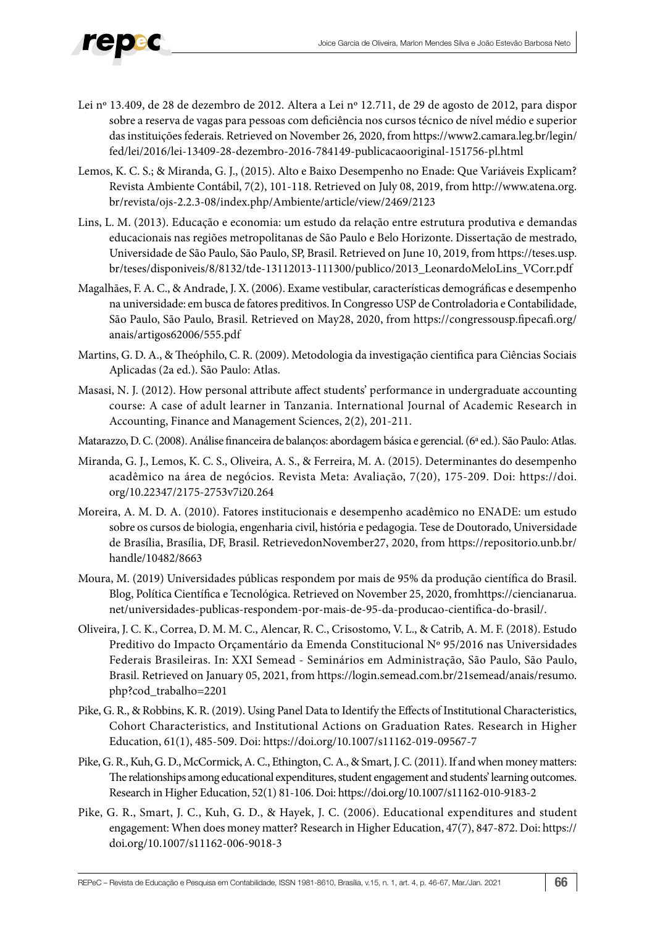- Lei nº 13.409, de 28 de dezembro de 2012. Altera a Lei nº 12.711, de 29 de agosto de 2012, para dispor sobre a reserva de vagas para pessoas com deficiência nos cursos técnico de nível médio e superior das instituições federais. Retrieved on November 26, 2020, from https://www2.camara.leg.br/legin/ fed/lei/2016/lei-13409-28-dezembro-2016-784149-publicacaooriginal-151756-pl.html
- Lemos, K. C. S.; & Miranda, G. J., (2015). Alto e Baixo Desempenho no Enade: Que Variáveis Explicam? Revista Ambiente Contábil, 7(2), 101-118. Retrieved on July 08, 2019, from http://www.atena.org. br/revista/ojs-2.2.3-08/index.php/Ambiente/article/view/2469/2123
- Lins, L. M. (2013). Educação e economia: um estudo da relação entre estrutura produtiva e demandas educacionais nas regiões metropolitanas de São Paulo e Belo Horizonte. Dissertação de mestrado, Universidade de São Paulo, São Paulo, SP, Brasil. Retrieved on June 10, 2019, from https://teses.usp. br/teses/disponiveis/8/8132/tde-13112013-111300/publico/2013\_LeonardoMeloLins\_VCorr.pdf
- Magalhães, F. A. C., & Andrade, J. X. (2006). Exame vestibular, características demográficas e desempenho na universidade: em busca de fatores preditivos. In Congresso USP de Controladoria e Contabilidade, São Paulo, São Paulo, Brasil. Retrieved on May28, 2020, from https://congressousp.fipecafi.org/ anais/artigos62006/555.pdf
- Martins, G. D. A., & Theóphilo, C. R. (2009). Metodologia da investigação cientifica para Ciências Sociais Aplicadas (2a ed.). São Paulo: Atlas.
- Masasi, N. J. (2012). How personal attribute affect students' performance in undergraduate accounting course: A case of adult learner in Tanzania. International Journal of Academic Research in Accounting, Finance and Management Sciences, 2(2), 201-211.
- Matarazzo, D. C. (2008). Análise financeira de balanços: abordagem básica e gerencial. (6ª ed.). São Paulo: Atlas.
- Miranda, G. J., Lemos, K. C. S., Oliveira, A. S., & Ferreira, M. A. (2015). Determinantes do desempenho acadêmico na área de negócios. Revista Meta: Avaliação, 7(20), 175-209. Doi: https://doi. org/10.22347/2175-2753v7i20.264
- Moreira, A. M. D. A. (2010). Fatores institucionais e desempenho acadêmico no ENADE: um estudo sobre os cursos de biologia, engenharia civil, história e pedagogia. Tese de Doutorado, Universidade de Brasília, Brasília, DF, Brasil. RetrievedonNovember27, 2020, from https://repositorio.unb.br/ handle/10482/8663
- Moura, M. (2019) Universidades públicas respondem por mais de 95% da produção científica do Brasil. Blog, Política Científica e Tecnológica. Retrieved on November 25, 2020, fromhttps://ciencianarua. net/universidades-publicas-respondem-por-mais-de-95-da-producao-cientifica-do-brasil/.
- Oliveira, J. C. K., Correa, D. M. M. C., Alencar, R. C., Crisostomo, V. L., & Catrib, A. M. F. (2018). Estudo Preditivo do Impacto Orçamentário da Emenda Constitucional Nº 95/2016 nas Universidades Federais Brasileiras. In: XXI Semead - Seminários em Administração, São Paulo, São Paulo, Brasil. Retrieved on January 05, 2021, from https://login.semead.com.br/21semead/anais/resumo. php?cod\_trabalho=2201
- Pike, G. R., & Robbins, K. R. (2019). Using Panel Data to Identify the Effects of Institutional Characteristics, Cohort Characteristics, and Institutional Actions on Graduation Rates. Research in Higher Education, 61(1), 485-509. Doi: https://doi.org/10.1007/s11162-019-09567-7
- Pike, G. R., Kuh, G. D., McCormick, A. C., Ethington, C. A., & Smart, J. C. (2011). If and when money matters: The relationships among educational expenditures, student engagement and students' learning outcomes. Research in Higher Education, 52(1) 81-106. Doi: https://doi.org/10.1007/s11162-010-9183-2
- Pike, G. R., Smart, J. C., Kuh, G. D., & Hayek, J. C. (2006). Educational expenditures and student engagement: When does money matter? Research in Higher Education, 47(7), 847-872. Doi: https:// doi.org/10.1007/s11162-006-9018-3